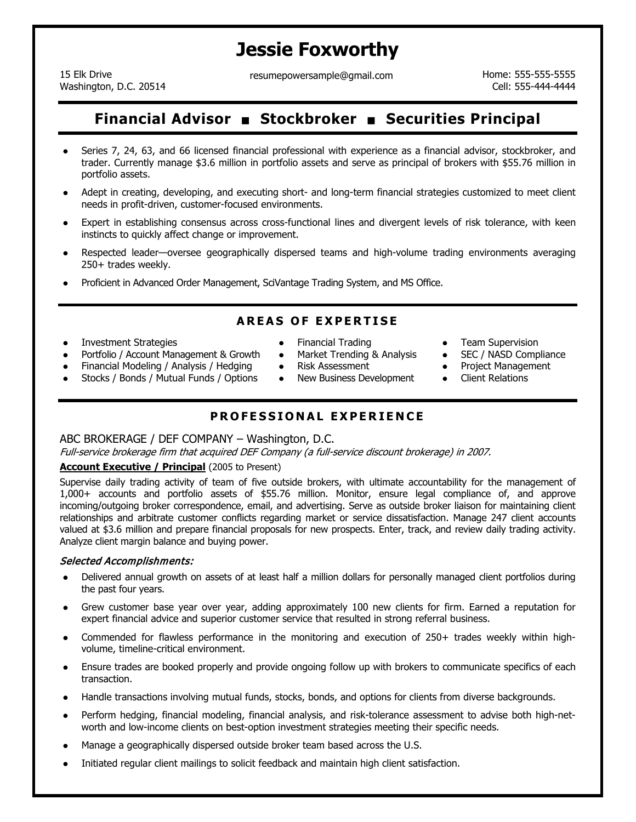# **Jessie Foxworthy**

15 Elk Drive Washington, D.C. 20514 resumepowersample@gmail.com Home: 555-555-5555-5555

Cell: 555-444-4444

## **Financial Advisor Stockbroker Securities Principal**

- Series 7, 24, 63, and 66 licensed financial professional with experience as a financial advisor, stockbroker, and trader. Currently manage \$3.6 million in portfolio assets and serve as principal of brokers with \$55.76 million in portfolio assets.
- Adept in creating, developing, and executing short- and long-term financial strategies customized to meet client needs in profit-driven, customer-focused environments.
- Expert in establishing consensus across cross-functional lines and divergent levels of risk tolerance, with keen instincts to quickly affect change or improvement.
- Respected leader—oversee geographically dispersed teams and high-volume trading environments averaging 250+ trades weekly.
- Proficient in Advanced Order Management, SciVantage Trading System, and MS Office.

## **AREAS OF EXPERTISE**

- Investment Strategies
- Portfolio / Account Management & Growth
- Financial Modeling / Analysis / Hedging
- Stocks / Bonds / Mutual Funds / Options
- Financial Trading
- Market Trending & Analysis
- Risk Assessment
- New Business Development
- Team Supervision
- SEC / NASD Compliance
- Project Management
- Client Relations

## **PROFESSIONAL EXPERIENCE**

#### ABC BROKERAGE / DEF COMPANY – Washington, D.C.

Full-service brokerage firm that acquired DEF Company (a full-service discount brokerage) in 2007.

#### **Account Executive / Principal** (2005 to Present)

Supervise daily trading activity of team of five outside brokers, with ultimate accountability for the management of 1,000+ accounts and portfolio assets of \$55.76 million. Monitor, ensure legal compliance of, and approve incoming/outgoing broker correspondence, email, and advertising. Serve as outside broker liaison for maintaining client relationships and arbitrate customer conflicts regarding market or service dissatisfaction. Manage 247 client accounts valued at \$3.6 million and prepare financial proposals for new prospects. Enter, track, and review daily trading activity. Analyze client margin balance and buying power.

#### Selected Accomplishments:

- Delivered annual growth on assets of at least half a million dollars for personally managed client portfolios during the past four years.
- Grew customer base year over year, adding approximately 100 new clients for firm. Earned a reputation for expert financial advice and superior customer service that resulted in strong referral business.
- Commended for flawless performance in the monitoring and execution of 250+ trades weekly within highvolume, timeline-critical environment.
- Ensure trades are booked properly and provide ongoing follow up with brokers to communicate specifics of each transaction.
- Handle transactions involving mutual funds, stocks, bonds, and options for clients from diverse backgrounds.
- Perform hedging, financial modeling, financial analysis, and risk-tolerance assessment to advise both high-networth and low-income clients on best-option investment strategies meeting their specific needs.
- Manage a geographically dispersed outside broker team based across the U.S.
- Initiated regular client mailings to solicit feedback and maintain high client satisfaction.